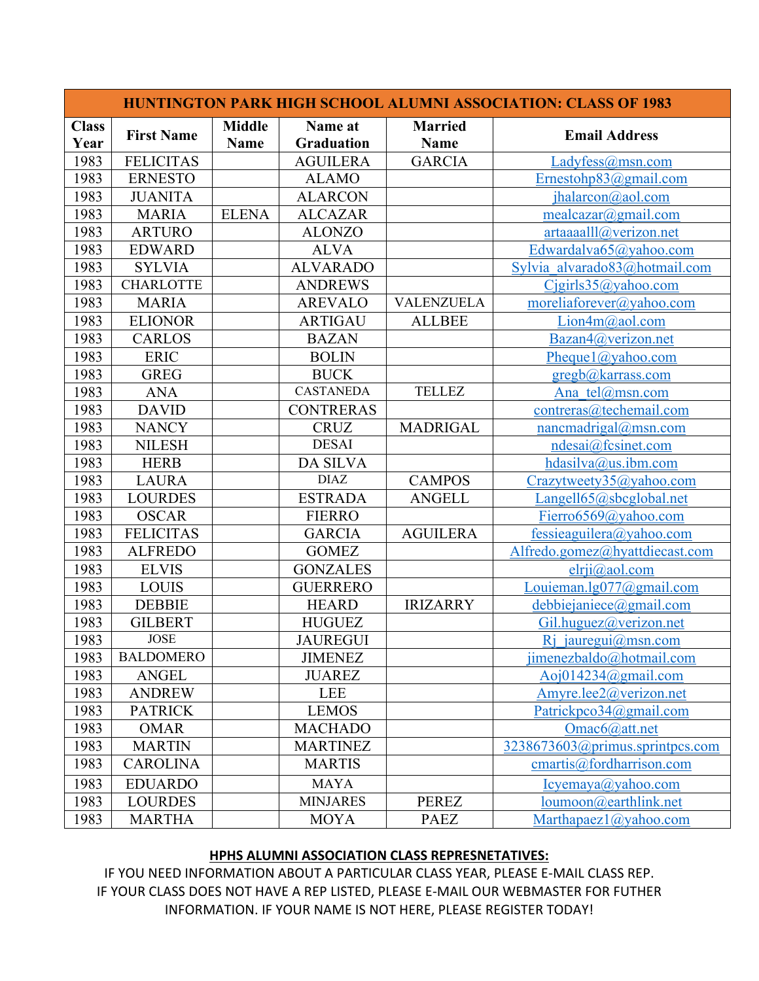| <b>HUNTINGTON PARK HIGH SCHOOL ALUMNI ASSOCIATION: CLASS OF 1983</b> |                   |                              |                              |                               |                                 |  |  |  |  |
|----------------------------------------------------------------------|-------------------|------------------------------|------------------------------|-------------------------------|---------------------------------|--|--|--|--|
| <b>Class</b><br>Year                                                 | <b>First Name</b> | <b>Middle</b><br><b>Name</b> | Name at<br><b>Graduation</b> | <b>Married</b><br><b>Name</b> | <b>Email Address</b>            |  |  |  |  |
| 1983                                                                 | <b>FELICITAS</b>  |                              | <b>AGUILERA</b>              | <b>GARCIA</b>                 | Ladyfess@msn.com                |  |  |  |  |
| 1983                                                                 | <b>ERNESTO</b>    |                              | <b>ALAMO</b>                 |                               | Ernestohp $83$ @gmail.com       |  |  |  |  |
| 1983                                                                 | <b>JUANITA</b>    |                              | <b>ALARCON</b>               |                               | jhalarcon@aol.com               |  |  |  |  |
| 1983                                                                 | <b>MARIA</b>      | <b>ELENA</b>                 | <b>ALCAZAR</b>               |                               | mealcazar@gmail.com             |  |  |  |  |
| 1983                                                                 | <b>ARTURO</b>     |                              | <b>ALONZO</b>                |                               | artaaaalll@/verizon.net         |  |  |  |  |
| 1983                                                                 | <b>EDWARD</b>     |                              | <b>ALVA</b>                  |                               | Edwardalva65@yahoo.com          |  |  |  |  |
| 1983                                                                 | <b>SYLVIA</b>     |                              | <b>ALVARADO</b>              |                               | Sylvia alvarado83@hotmail.com   |  |  |  |  |
| 1983                                                                 | <b>CHARLOTTE</b>  |                              | <b>ANDREWS</b>               |                               | Cigirls35@yahoo.com             |  |  |  |  |
| 1983                                                                 | <b>MARIA</b>      |                              | <b>AREVALO</b>               | <b>VALENZUELA</b>             | moreliaforever@yahoo.com        |  |  |  |  |
| 1983                                                                 | <b>ELIONOR</b>    |                              | <b>ARTIGAU</b>               | <b>ALLBEE</b>                 | Lion4m@aol.com                  |  |  |  |  |
| 1983                                                                 | <b>CARLOS</b>     |                              | <b>BAZAN</b>                 |                               | Bazan4@verizon.net              |  |  |  |  |
| 1983                                                                 | <b>ERIC</b>       |                              | <b>BOLIN</b>                 |                               | Pheque1@yahoo.com               |  |  |  |  |
| 1983                                                                 | <b>GREG</b>       |                              | <b>BUCK</b>                  |                               | gregb@karrass.com               |  |  |  |  |
| 1983                                                                 | <b>ANA</b>        |                              | <b>CASTANEDA</b>             | <b>TELLEZ</b>                 | Ana tel@msn.com                 |  |  |  |  |
| 1983                                                                 | <b>DAVID</b>      |                              | <b>CONTRERAS</b>             |                               | contreras@techemail.com         |  |  |  |  |
| 1983                                                                 | <b>NANCY</b>      |                              | <b>CRUZ</b>                  | <b>MADRIGAL</b>               | nancmadrigal@msn.com            |  |  |  |  |
| 1983                                                                 | <b>NILESH</b>     |                              | <b>DESAI</b>                 |                               | ndesai@fcsinet.com              |  |  |  |  |
| 1983                                                                 | <b>HERB</b>       |                              | <b>DA SILVA</b>              |                               | hdasilva@us.ibm.com             |  |  |  |  |
| 1983                                                                 | <b>LAURA</b>      |                              | <b>DIAZ</b>                  | <b>CAMPOS</b>                 | Crazytweety35@yahoo.com         |  |  |  |  |
| 1983                                                                 | <b>LOURDES</b>    |                              | <b>ESTRADA</b>               | <b>ANGELL</b>                 | Langell65@sbcglobal.net         |  |  |  |  |
| 1983                                                                 | <b>OSCAR</b>      |                              | <b>FIERRO</b>                |                               | Fierro6569@yahoo.com            |  |  |  |  |
| 1983                                                                 | <b>FELICITAS</b>  |                              | <b>GARCIA</b>                | <b>AGUILERA</b>               | fessieaguilera@yahoo.com        |  |  |  |  |
| 1983                                                                 | <b>ALFREDO</b>    |                              | <b>GOMEZ</b>                 |                               | Alfredo.gomez@hyattdiecast.com  |  |  |  |  |
| 1983                                                                 | <b>ELVIS</b>      |                              | <b>GONZALES</b>              |                               | elri@aol.com                    |  |  |  |  |
| 1983                                                                 | <b>LOUIS</b>      |                              | <b>GUERRERO</b>              |                               | Louieman.lg $077$ @gmail.com    |  |  |  |  |
| 1983                                                                 | <b>DEBBIE</b>     |                              | <b>HEARD</b>                 | <b>IRIZARRY</b>               | debbiejaniece@gmail.com         |  |  |  |  |
| 1983                                                                 | <b>GILBERT</b>    |                              | <b>HUGUEZ</b>                |                               | Gil.huguez@verizon.net          |  |  |  |  |
| 1983                                                                 | <b>JOSE</b>       |                              | <b>JAUREGUI</b>              |                               | $R$ jauregui@msn.com            |  |  |  |  |
| 1983                                                                 | <b>BALDOMERO</b>  |                              | <b>JIMENEZ</b>               |                               | jimenezbaldo@hotmail.com        |  |  |  |  |
| 1983                                                                 | <b>ANGEL</b>      |                              | <b>JUAREZ</b>                |                               | Aoj014234@gmail.com             |  |  |  |  |
| 1983                                                                 | <b>ANDREW</b>     |                              | <b>LEE</b>                   |                               | Amyre.lee2@verizon.net          |  |  |  |  |
| 1983                                                                 | <b>PATRICK</b>    |                              | <b>LEMOS</b>                 |                               | Patrickpco34@gmail.com          |  |  |  |  |
| 1983                                                                 | <b>OMAR</b>       |                              | <b>MACHADO</b>               |                               | Omac6@attnet                    |  |  |  |  |
| 1983                                                                 | <b>MARTIN</b>     |                              | <b>MARTINEZ</b>              |                               | 3238673603@primus.sprintpcs.com |  |  |  |  |
| 1983                                                                 | <b>CAROLINA</b>   |                              | <b>MARTIS</b>                |                               | cmartis@fordharrison.com        |  |  |  |  |
| 1983                                                                 | <b>EDUARDO</b>    |                              | <b>MAYA</b>                  |                               | Icyemaya@yahoo.com              |  |  |  |  |
| 1983                                                                 | <b>LOURDES</b>    |                              | <b>MINJARES</b>              | PEREZ                         | loumoon@earthlink.net           |  |  |  |  |
| 1983                                                                 | <b>MARTHA</b>     |                              | <b>MOYA</b>                  | <b>PAEZ</b>                   | Marthapaez $1$ ( $@$ yahoo.com  |  |  |  |  |

## **HPHS ALUMNI ASSOCIATION CLASS REPRESNETATIVES:**

IF YOU NEED INFORMATION ABOUT A PARTICULAR CLASS YEAR, PLEASE E-MAIL CLASS REP. IF YOUR CLASS DOES NOT HAVE A REP LISTED, PLEASE E-MAIL OUR WEBMASTER FOR FUTHER INFORMATION. IF YOUR NAME IS NOT HERE, PLEASE REGISTER TODAY!